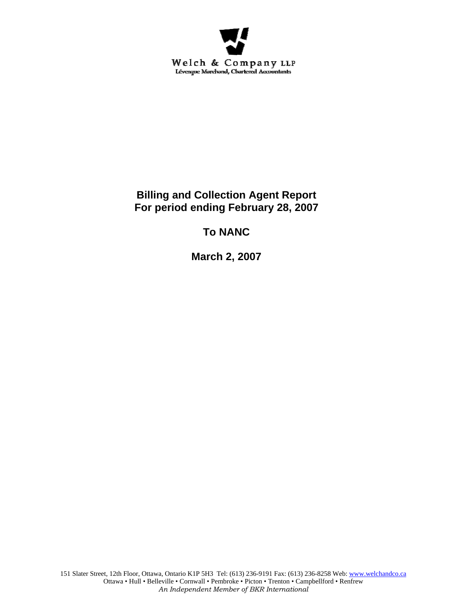

**Billing and Collection Agent Report For period ending February 28, 2007** 

**To NANC** 

**March 2, 2007**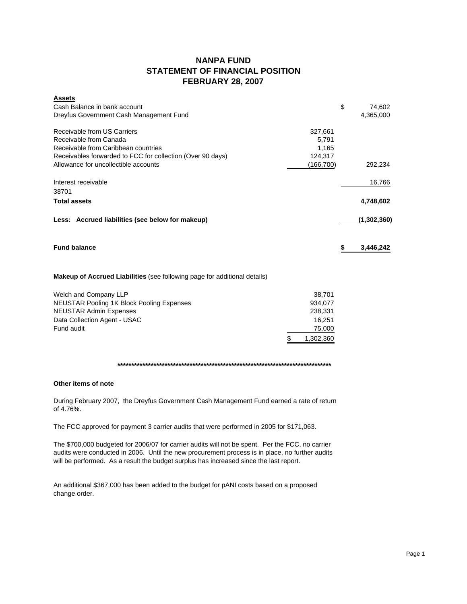# **NANPA FUND STATEMENT OF FINANCIAL POSITION FEBRUARY 28, 2007**

| <b>Assets</b>                                              |           |             |
|------------------------------------------------------------|-----------|-------------|
| Cash Balance in bank account                               | \$        | 74,602      |
| Dreyfus Government Cash Management Fund                    |           | 4,365,000   |
| Receivable from US Carriers                                | 327,661   |             |
| Receivable from Canada                                     | 5,791     |             |
| Receivable from Caribbean countries                        | 1,165     |             |
| Receivables forwarded to FCC for collection (Over 90 days) | 124,317   |             |
| Allowance for uncollectible accounts                       | (166,700) | 292,234     |
| Interest receivable                                        |           | 16,766      |
| 38701                                                      |           |             |
| <b>Total assets</b>                                        |           | 4,748,602   |
| Less: Accrued liabilities (see below for makeup)           |           | (1,302,360) |
| <b>Fund balance</b>                                        |           | 3,446,242   |

## **Makeup of Accrued Liabilities** (see following page for additional details)

| Welch and Company LLP                            | 38.701    |
|--------------------------------------------------|-----------|
| <b>NEUSTAR Pooling 1K Block Pooling Expenses</b> | 934.077   |
| <b>NEUSTAR Admin Expenses</b>                    | 238.331   |
| Data Collection Agent - USAC                     | 16.251    |
| Fund audit                                       | 75,000    |
|                                                  | 1,302,360 |

### **\*\*\*\*\*\*\*\*\*\*\*\*\*\*\*\*\*\*\*\*\*\*\*\*\*\*\*\*\*\*\*\*\*\*\*\*\*\*\*\*\*\*\*\*\*\*\*\*\*\*\*\*\*\*\*\*\*\*\*\*\*\*\*\*\*\*\*\*\*\*\*\*\*\*\*\*\***

### **Other items of note**

During February 2007, the Dreyfus Government Cash Management Fund earned a rate of return of 4.76%.

The FCC approved for payment 3 carrier audits that were performed in 2005 for \$171,063.

The \$700,000 budgeted for 2006/07 for carrier audits will not be spent. Per the FCC, no carrier audits were conducted in 2006. Until the new procurement process is in place, no further audits will be performed. As a result the budget surplus has increased since the last report.

An additional \$367,000 has been added to the budget for pANI costs based on a proposed change order.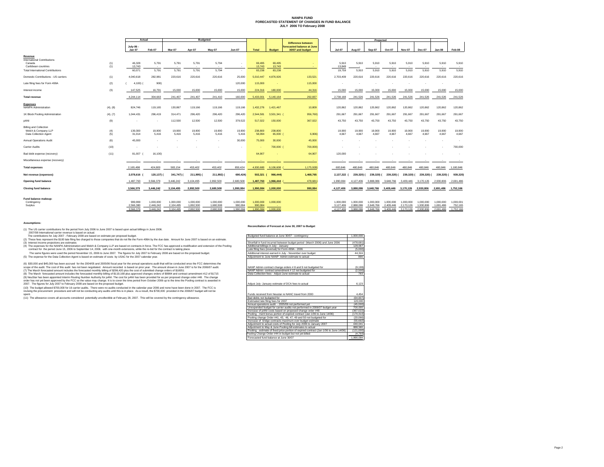#### **NANPA FUND FORECASTED STATEMENT OF CHANGES IN FUND BALANCE JULY 2006 TO February 2008**

|                                                                               |            |                      | <b>Budgeted</b>        |                        |                        |                        |                      |                          | Projected         |                                                         |                        |                        |                        |                        |                        |                        |                        |                      |
|-------------------------------------------------------------------------------|------------|----------------------|------------------------|------------------------|------------------------|------------------------|----------------------|--------------------------|-------------------|---------------------------------------------------------|------------------------|------------------------|------------------------|------------------------|------------------------|------------------------|------------------------|----------------------|
|                                                                               |            | Actual               |                        |                        |                        |                        |                      |                          |                   |                                                         |                        |                        |                        |                        |                        |                        |                        |                      |
|                                                                               |            | July-06 -            |                        |                        |                        |                        |                      |                          |                   | <b>Difference between</b><br>forecasted balance at June |                        |                        |                        |                        |                        |                        |                        |                      |
|                                                                               |            | <b>Jan 07</b>        | Feb-07                 | Mar-07                 | Apr-07                 | May-07                 | <b>Jun-07</b>        | <b>Total</b>             | <b>Budget</b>     | 30/07 and budget                                        | <b>Jul-07</b>          | Aug-07                 | <b>Sep-07</b>          | Oct-07                 | <b>Nov-07</b>          | Dec-07                 | Jan-08                 | Feb-08               |
| Revenue<br>International Contributions                                        |            |                      |                        |                        |                        |                        |                      |                          |                   |                                                         |                        |                        |                        |                        |                        |                        |                        |                      |
| Canada<br>Caribbean countries                                                 | (1)<br>(1) | 46.328<br>13,743     | 5.791                  | 5.791                  | 5.791                  | 5.794                  |                      | 69,495<br>13,743         | 69,495<br>13,743  |                                                         | 5.910<br>13.849        | 5.910                  | 5.910                  | 5,910                  | 5.910                  | 5.910                  | 5.910                  | 5,910                |
| <b>Total International Contributions</b>                                      |            | 60,071               | 5,791                  | 5,791                  | 5,791                  | 5,794                  | ÷                    | 83,238                   | 83,238            |                                                         | 19,759                 | 5.910                  | 5,910                  | 5,910                  | 5,910                  | 5,910                  | 5,910                  | 5,910                |
| Domestic Contributions - US carriers                                          | (1)        | 4.040.618            | 282,981                | 220,616                | 220,616                | 220.616                | 25,000               | 5.010.447                | 4.876.926         | 133,521                                                 | 2,703,409              | 220.616                | 220,616                | 220,616                | 220,616                | 220,616                | 220,616                | 220,616              |
| Late filing fees for Form 499A                                                | (2)        | 4,100)               | 900)                   |                        |                        |                        | 120,000              | 115,000                  |                   | 115,000                                                 |                        |                        |                        |                        |                        |                        |                        |                      |
| Interest income                                                               | (3)        | 147,525              | 16,791                 | 15,000                 | 15.000                 | 15,000                 | 15,000               | 224,316                  | 180,000           | 44,316                                                  | 15,000                 | 15,000                 | 15,000                 | 15,000                 | 15,000                 | 15,000                 | 15,000                 | 15,000               |
| <b>Total revenue</b>                                                          |            | 4.244.114            | 304.663                | 241.407                | 241.407                | 241.410                | 160,000              | 5.433.001                | 5,140,164         | 292,837                                                 | 2.738.168              | 241,526                | 241.526                | 241,526                | 241.526                | 241.526                | 241.526                | 241,526              |
| <b>Expenses</b><br><b>NANPA Administration</b>                                | (4), (8)   | 824,746              | 119,165                | 130,867                | 119,166                | 119,166                | 119,166              | 1,432,276                | 1,421,467         | 10,809                                                  | 120,862                | 120,862                | 120,862                | 120,862                | 120,862                | 120,862                | 120,862                | 120,862              |
| 1K Block Pooling Administration                                               | (4), (7)   | 1,044,431            | 296,419                | 314,471                | 296,420                | 296,420                | 296,420              | 2.544.581                | 3,501,341         | 956,760)                                                | 291,667                | 291,667                | 291,667                | 291,667                | 291,667                | 291,667                | 291,667                | 291,667              |
| pANI                                                                          | (9)        |                      |                        | 112,500                | 12,500                 | 12,500                 | 379,522              | 517,022                  | 150,000           | 367,022                                                 | 43,750                 | 43,750                 | 43,750                 | 43,750                 | 43,750                 | 43,750                 | 43,750                 | 43,750               |
| <b>Billing and Collection</b><br>Welch & Company LLP<br>Data Collection Agent | (4)<br>(5) | 139,300<br>31.014    | 19,900<br>5.416        | 19,900<br>5.416        | 19,900<br>5.416        | 19,900<br>5.416        | 19,900<br>5.416      | 238,800<br>58,094        | 238,800<br>65,000 | 6.906)                                                  | 19,900<br>4.667        | 19,900<br>4.667        | 19,900<br>4.667        | 19,900<br>4.667        | 19,900<br>4.667        | 19,900<br>4.667        | 19,900<br>4.667        | 19,900<br>4,667      |
| <b>Annual Operations Audit</b>                                                | (6)        | 45,000               |                        |                        |                        |                        | 30,000               | 75,000                   | 30,000            | 45,000                                                  |                        |                        |                        |                        |                        |                        |                        |                      |
| Carrier Audits                                                                | (10)       | $\sim$               |                        |                        |                        |                        |                      | $\overline{\phantom{a}}$ | 700,000           | 700,000)                                                |                        |                        |                        |                        |                        |                        |                        | 700,000              |
| Bad debt expense (recovery)                                                   | (11)       | 81,007               | 16,100)                |                        |                        |                        |                      | 64,907                   |                   | 64,907                                                  | 120,000                |                        |                        |                        |                        |                        |                        | $\sim$               |
| Miscellaneous expense (recovery)                                              |            |                      |                        |                        |                        |                        |                      |                          |                   | $\sim$                                                  |                        |                        |                        |                        |                        |                        |                        |                      |
| <b>Total expenses</b>                                                         |            | 2,165,498            | 424,800                | 583,154                | 453,402                | 453,402                | 850,424              | 4,930,680                | 6,106,608         | 1,175,928)                                              | 600,846                | 480,846                | 480,846                | 480,846                | 480,846                | 480,846                | 480,846                | 1,180,846            |
| Net revenue (expenses)                                                        |            | 2,078,616            | 120,137)               | 341,747) (             | 211,995) (             | 211,992) (             | 690,424)             | $502,321$ (              | 966,444)          | 1,468,765                                               | 2,137,322 (            | 239,320)               | 239,320) (             | 239,320) (             | 239,320) (             | 239,320) (             | 239,320) (             | 939,320)             |
| Opening fund balance                                                          |            | 1,487,763            | 3,566,379              | 3,446,242              | 3,104,495              | 2,892,500              | 2,680,508            | 1,487,763                | 1,966,444         | 478,681                                                 | 1,990,084              | 4,127,406              | 3,888,086              | 3,648,766              | 3,409,446              | 3,170,126              | 2,930,806              | 2,691,486            |
| <b>Closing fund balance</b>                                                   |            | 3,566,379            | 3,446,242              | 3,104,495              | 2,892,500              | 2,680,508              | 1,990,084            | 1,990,084                | 1,000,000         | 990,084                                                 | 4,127,406              | 3,888,086              | 3,648,766              | 3,409,446              | 3,170,126              | 2,930,806              | 2,691,486              | 1,752,166            |
| Fund balance makeup:<br>Contingency<br>Surplus                                |            | 999.999<br>2,566,380 | 1,000,000<br>2.446.242 | 1,000,000<br>2.104.495 | 1,000,000<br>1.892.500 | 1,000,000<br>1.680.508 | 1,000,000<br>990.084 | 1,000,000<br>990.084     | 1,000,000         |                                                         | 1.000.000<br>3.127.406 | 1,000,000<br>2.888.086 | 1.000.000<br>2.648.766 | 1.000.000<br>2.409.446 | 1.000.000<br>2,170,126 | 1,000,000<br>1.930.806 | 1,000,000<br>1,691,486 | 1,000,001<br>752,165 |

#### **Assumptions:**

3,566,379 3,446,242 3,104,495 2,892,500 2,680,508 1,990,084

#### **Reconciliation of Forecast at June 30, 2007 to Budget**

| (1) The US carrier contributions for the period from July 2006 to June 2007 is based upon actual billings in June 2006.                                                                                                                                                                                                                 |                                                                                        |           |
|-----------------------------------------------------------------------------------------------------------------------------------------------------------------------------------------------------------------------------------------------------------------------------------------------------------------------------------------|----------------------------------------------------------------------------------------|-----------|
| 2007/08 International carrier revenue is hased on actual<br>The contributions for July 2007 - February 2008 are based on estimate per proposed budget.                                                                                                                                                                                  | Budgeted fund balance at June 30/07 - contingency                                      | 1.000.000 |
| (2) These fees represent the \$100 late filing fee charged to those companies that do not file the Form 499A by the due date. Amount for June 2007 is based on an estimate.                                                                                                                                                             |                                                                                        |           |
| (3) Interest income projections are estimates                                                                                                                                                                                                                                                                                           | Shortfall in fund incurred between budget period (March 2006) and June 2006            | (478.681) |
| (4) The expenses for the NANPA Administration and Welch & Company LLP are based on contracts in force. The FCC has approved a modification and extension of the Pooling                                                                                                                                                                 | Additional billings in July - January                                                  | 129.067   |
| contract for the period June 15, 2006 to September 14, 2006, with one-month extensions, while the re-bid for the contract is taking place.                                                                                                                                                                                              | Late filing fees (reversal) for Form 499A - 2006                                       | (5.000)   |
| The same figures were used the period November 15, 2006 to June 2007. The figures for July 2007 to February 2008 are based on the proposed budget.                                                                                                                                                                                      | Additional interest earned in July - November over budget                              | 44.316    |
| (5) The expense for the Data Collection Agent is based on estimate of costs by USAC for the 2007 calendar year.                                                                                                                                                                                                                         | Adjustment to June NANP Admin estimate to actual                                       | 890       |
|                                                                                                                                                                                                                                                                                                                                         |                                                                                        |           |
| (6) \$30,000 and \$45,000 has been accrued for the 2004/05 and 2005/06 fiscal year for the annual operations audit that will be conducted once the FCC determines the                                                                                                                                                                   |                                                                                        |           |
| scope of the audit. The cost of this audit has not been negotiated. Amount recorded is based on prior vear. The amount shown in June 2007 is for the 2006/07 audit.                                                                                                                                                                     | NANP Admin contract change orders # 8 and 9 not budgeted for                           | (9.199)   |
| (7) The March forecasted amount includes the forecasted monthly billing of \$296.420 plus the cost of submitted change orders of \$18051                                                                                                                                                                                                | NANP Admin contract amendment #12 not budgeted for                                     | (2,500)   |
| (8) The March forecasted amount includes the forecasted monthly billing of \$119.168 plus approved changes orders of \$9984 and contract amendment #12 of \$1715                                                                                                                                                                        | Data Collection fees - Adjust June estimate to actual                                  | 783       |
| (9) NeuStar has been appointed Interim Routing Number Authority for pANI. The cost for pANI has been provided for as per proposed change order #48. The change                                                                                                                                                                          |                                                                                        |           |
| order has not yet been approved by the FCC so the value may change. It is to cover the time period from October 2006 up to the time the Pooling contract is awarded in                                                                                                                                                                  |                                                                                        |           |
| 2007. The figures for July 2007 to February 2008 are based on the proposed budget.                                                                                                                                                                                                                                                      | Adjust July -January estimate of DCA fees to actual                                    | 6.123     |
| (10) The budget allowed \$700,000 for 16 carrier audits. There were no audits conducted in the calendar vear 2006 and none have been done in 2007. The FCC is<br>revising the procurement procedure and will not be conducting any audits until this is in place. As a result, the \$700,000 provided in the 2006/07 budget will not be |                                                                                        |           |
| spent.                                                                                                                                                                                                                                                                                                                                  | Funds received from Neustar re NANC travel from 2000                                   | 4.454     |
| (11) The allowance covers all accounts considered potentially uncollectible at February 28, 2007. This will be covered by the contingency allowance.                                                                                                                                                                                    | Bad debts not budgeted for                                                             | (64.907)  |
|                                                                                                                                                                                                                                                                                                                                         | Estimated late filing fees for 2007                                                    | 120,000   |
|                                                                                                                                                                                                                                                                                                                                         | Annual operations audit - 2005/06 not performed vet                                    | (45.000)  |
|                                                                                                                                                                                                                                                                                                                                         | Unexpended budget for carrier audits not performed in 2006/07 budget year              | 700,000   |
|                                                                                                                                                                                                                                                                                                                                         | Increase of pANI costs based on proposed change order #48                              | (367.022) |
|                                                                                                                                                                                                                                                                                                                                         | Pooling - merit bonus portion of expired contract (Jan 1/06 to June 14/06)             | (170.310) |
|                                                                                                                                                                                                                                                                                                                                         | Pooling change Order #41, 43, 46, 47, 49 and 50 not budgeted for                       | (20.066)  |
|                                                                                                                                                                                                                                                                                                                                         | Increase of bridge contracts maximum over budget estimate                              | (55.692)  |
|                                                                                                                                                                                                                                                                                                                                         | Adjustment to actual costs of Pooling for July 2006 to January 2007                    | 440.041   |
|                                                                                                                                                                                                                                                                                                                                         | Adjustment to May & June Pooling bill estimates to actual                              | 888,580   |
|                                                                                                                                                                                                                                                                                                                                         | Pooling - estimate of fixed price portion of expired contract (Jan 1/06 to June 14/06) | (121.000) |
|                                                                                                                                                                                                                                                                                                                                         | Pooling Change Order #44 in budget but not yet billed                                  | (4, 793)  |
|                                                                                                                                                                                                                                                                                                                                         | Forecasted fund balance at June 30/07                                                  | 1,990,084 |

3,446,242 3,104,495 2,892,500 2,680,508 1,990,084 1,990,084 1,000,000 4,127,406 3,888,086 3,648,766 3,409,446 3,170,126 2,930,806 2,691,486 1,752,166